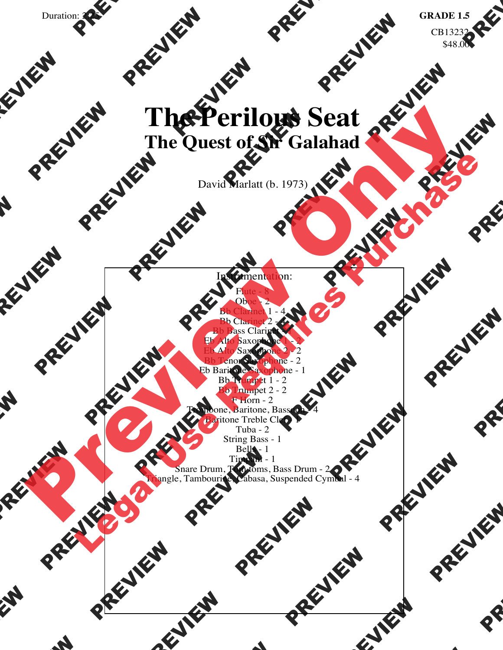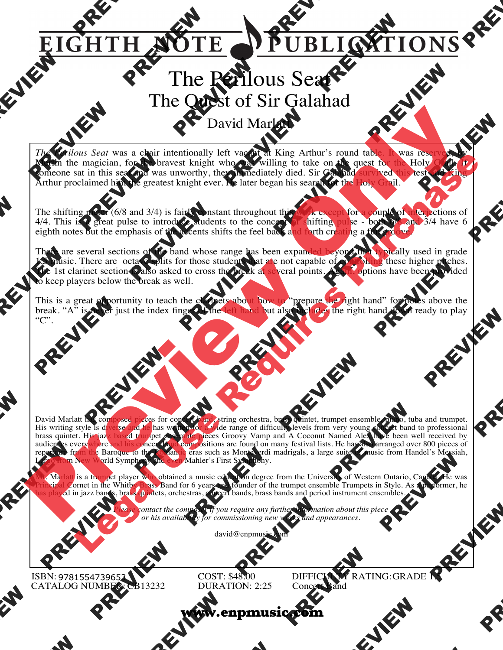## The Perilous Seat The Quest of Sir Galahad

## David Marlatt

*The Perilous Seat* was a chair intentionally left vacant at King Arthur's round table. It was reserved, by Merlin the magician, for the bravest knight who was willing to take on the quest for the Holy Grail. It Merlin the magician, for the bravest knight who was willing to take on the quest for the Holy someone sat in this seat and was unworthy, they immediately died. Sir Galahad survived this test and King Arthur proclaimed him the greatest knight ever. He later began his search for the Holy Grail. **EIGHTH NOTE PETIOUS Seat**<br>
The Perilous Seat The Quest of Sir Galahad David Marlatt<br>
The Perilous Seat The Quest of Sir Galahad David Marlatt<br>
The magician, for the brivest knight who was willing to lake on the<br>
someone s

The shifting meter (6/8 and 3/4) is fairly constant throughout this work except for a couple of interjections of 4/4. This is a great pulse to introduce students to the concept of shifting pulse - both  $6/8$  and  $3/4$  have 6 eighth notes but the emphasis of the accents shifts the feel back and forth creating a fun groove.

There are several sections of the band whose range has been expanded beyond that typically used in grade 1.5 music. There are octave splits for those students that are not capable of controlling these higher pitches. The 1st clarinet section is also asked to cross the break at several points. Again, options have been provided to keep players below the break as well.

This is a great opportunity to teach the clarinets about how to "prepare the right hand" for notes above the break. "A" is never just the index finger of the left hand but also includes the right hand down ready to play "C".

David Marlatt has composed pieces for concert band, string orchestra, brass quintet, trumpet ensemble, piano, tuba and trumpet. His writing style is diverse and he has written for a wide range of difficulty levels from very young concert band to professional brass quintet. His jazz based trumpet ensemble pieces Groovy Vamp and A Coconut Named Alex have been well received by audiences everywhere and his concert band compositions are found on many festival lists. He has also arranged over 800 pieces of repertoire from the Baroque to the Romantic eras such as Monteverdi madrigals, a large suite of music from Handel's Messiah,<br>Largo from New World Symphony and even Mahler's First Symphony. orld Symphony and even Mahler's First Symphony. **EIGHTH NOTE**<br>
The Perilous S<br>
The Perilous S<br>
The Cluest of Sir Ga<br>
David Marlatt<br>
The regional Seat was a chair intentionally left weant at King A<br>
Mentin the magnician, for the bases kinght who was willing to<br>
someone s **EIGHTH NOTE PUBLICATION**<br>
The Period US Seat The Quest of Sir Galahad<br>
The Cuest of Sir Galahad<br>
The Period was a claim interimentally left was at King Addustrian and the search of Sir Galahad<br>
Menting the Search of Sir G **EIGHTH NOTE**<br>
The Perilous Seat on the Quest of Sir Galahad David Marlatt development in the Quest of Sir Galahad David Marlatt development is a search of the contract of the state of the contract of the contract of the EIGHTH NOTE<br>
The Perilous Seat<br>
The Quest of Sir Galahad<br>
David Marlatt<br>
The Market Schule Preview Preview Preview Preview Preview Preview Preview Preview Preview Preview Preview Preview Preview Preview Preview Preview Pre David Marlatt<br>
Version for angion for the hancel is the particular action of the hand action of the breview respectively. The stress of the particular action of the action of the action of the action of the action of the a The Perilous Seat<br>
The Quest of Sir dialand<br>
The Court of Sir dialand<br>
Preview Preview Preview Preview Preview Preview Preview Preview Preview Preview Preview Preview Preview Preview Preview Preview Preview Preview Preview The second point of the burd whose range has been explicited to the control of the burde of the second with the second with the forest control of the burde with the second with the second with the second with the second w This exact and was turned with the controlled the set of the greatest hand the controlled the controlled the methods of the energy signal properties of the energy signal properties of the controlled the controlled the pro For the contract of the contract the contract of difficulty lived in the control of the control of the control of the control of the control of the control of the control of the control of the control of the control of th The break and several points. Again soptions have been provided<br>clarinets above the of the set to the set of the right hand<sup>1</sup> for notes above the<br>of the set to the set of the right and down ready to play<br>the right may che The Perideux Seat was a chair intentionally left wasm at King Arthur's round take<br>Media the magician, for the barves Knight who was willing to due on the distribution of the magician, for the barves Knight who was willing Star and characteristic transfer that a require and the comparison of the transfer of the transfer of the transfer of the transfer of the transfer of the transfer of the transfer of the transfer of the transfer of the tra

Marlatt is a trumpet player who obtained a music education degree from the University of Western Ontario, Canada. He was Principal Cornet in the Whitby Brass Band for 6 years and founder of the trumpet ensemble Trumpets in Style. As a performer, he has played in jazz bands, brass **quintets**, orchestras, concert bands, brass bands and period instrument ensembles.

> **Phease composer if you require any further information about this piece** *or his availability for commissioning new works and appearances.*

> > david@enpmusic.com

ISBN: 9781554739653 CATALOG NUMBER: CB13232 COST: \$48.00 DURATION: 2:25 DIFFICULTY RATING:GRADE 1.5 Concert Band

**www.enpmusic.com**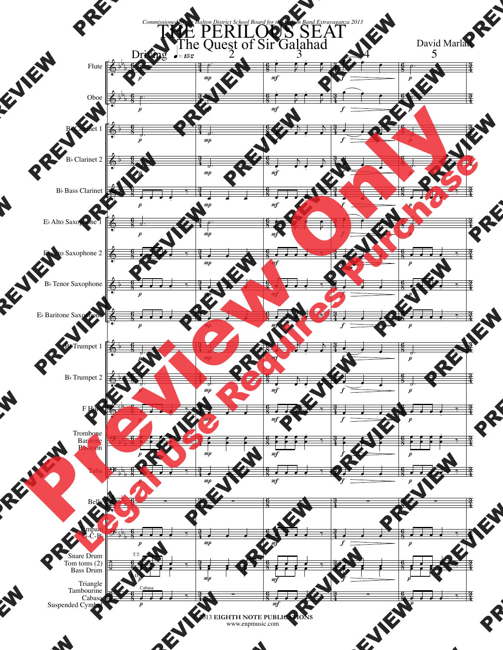

© 2013 **EIGHTH NOTE PUBLICATIONS** www.enpmusic.com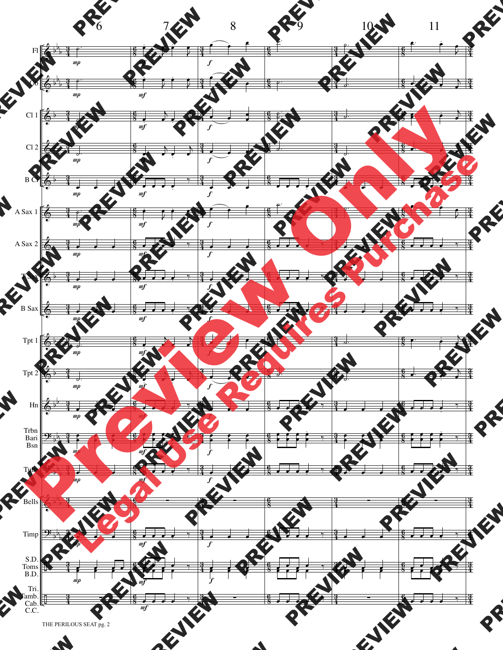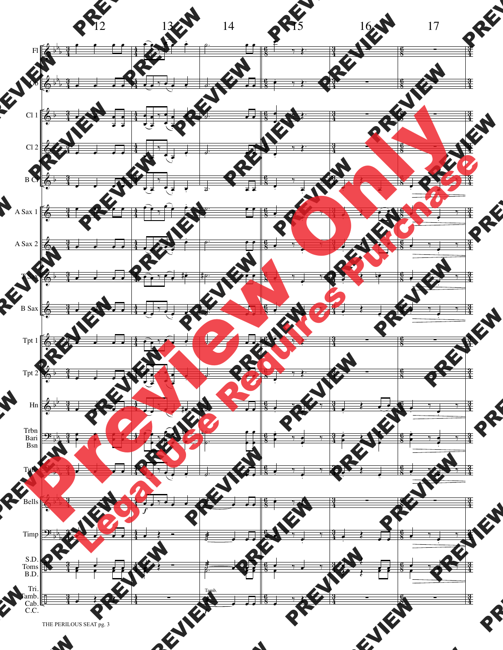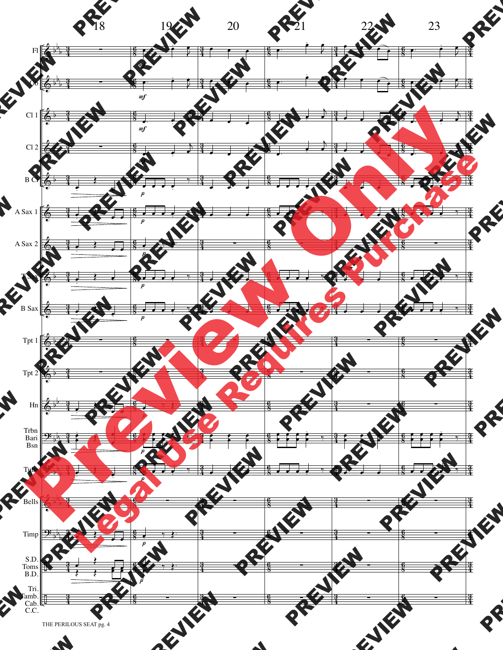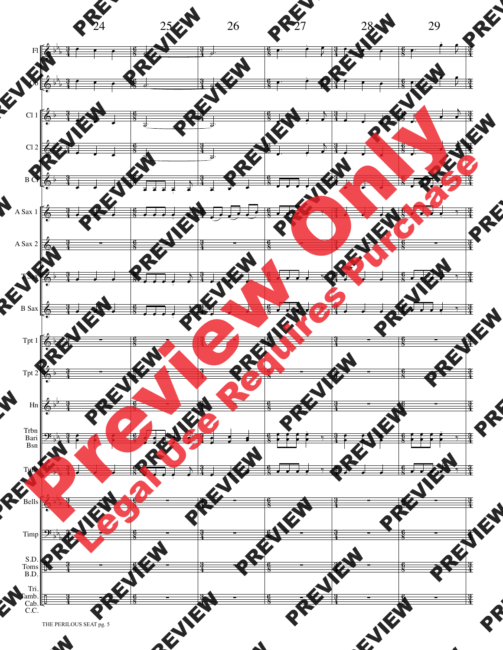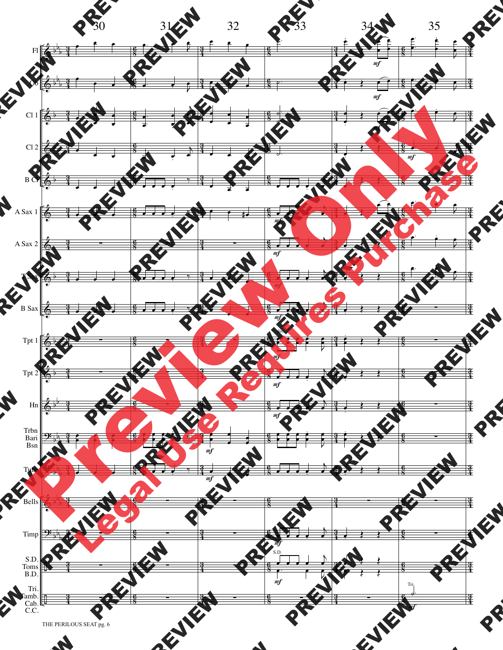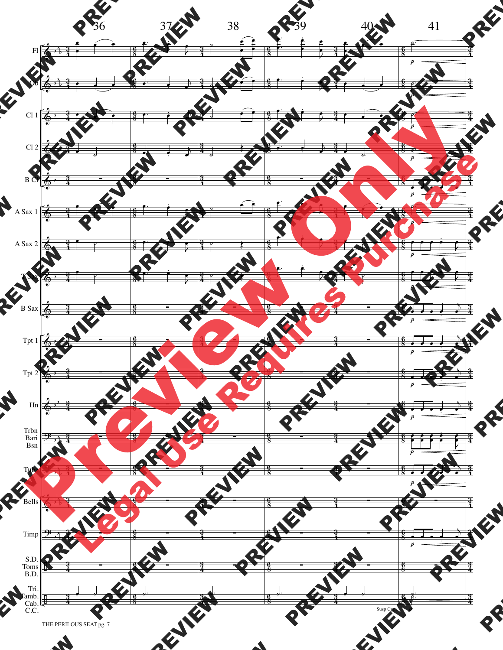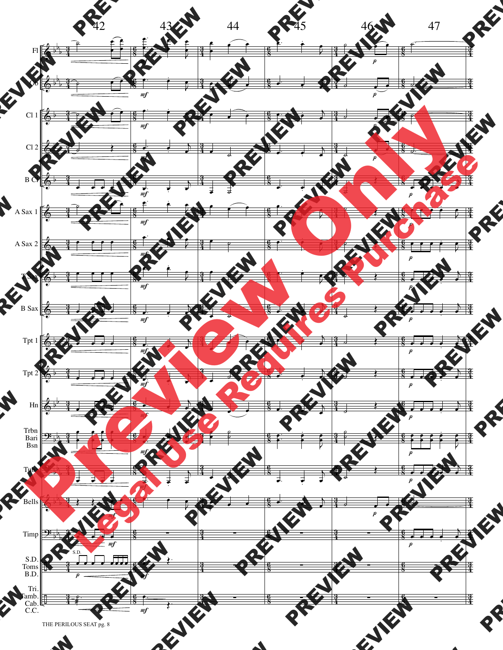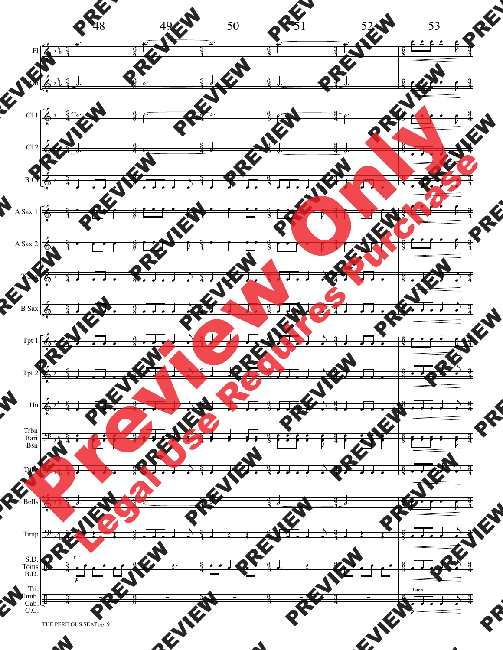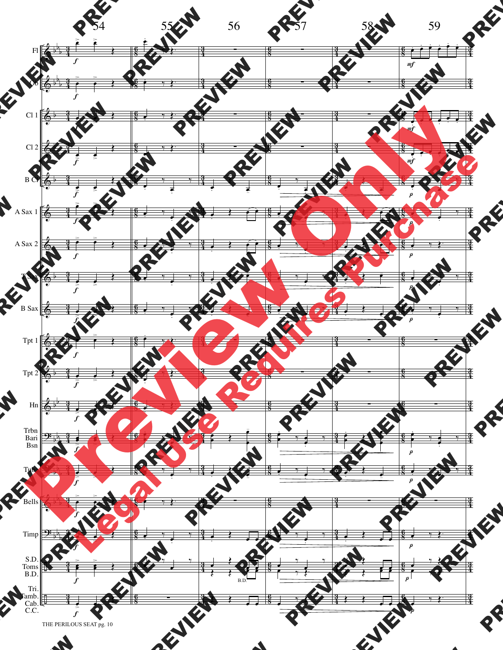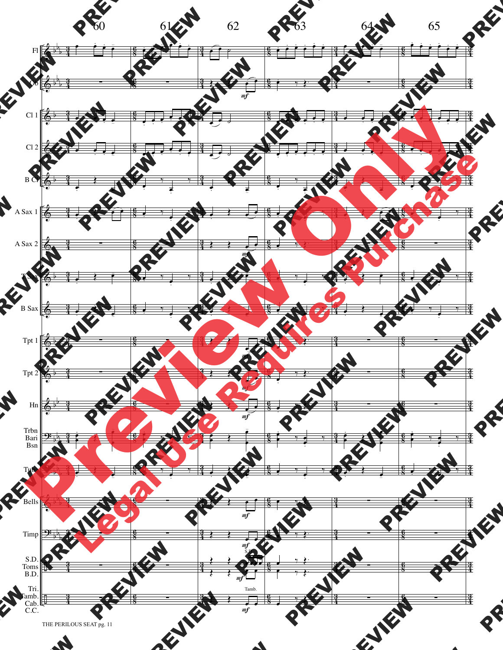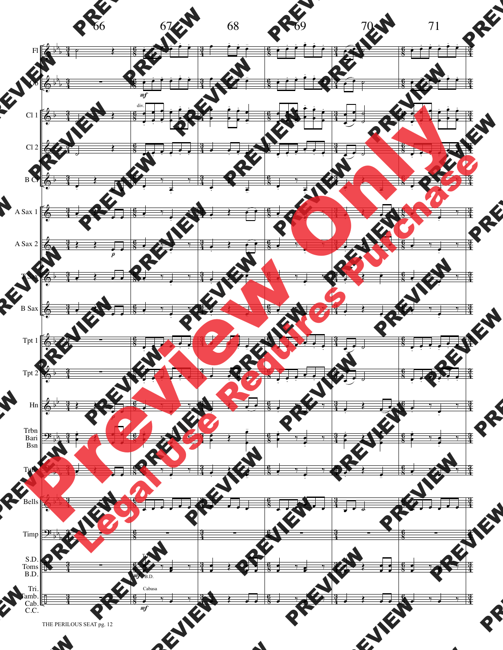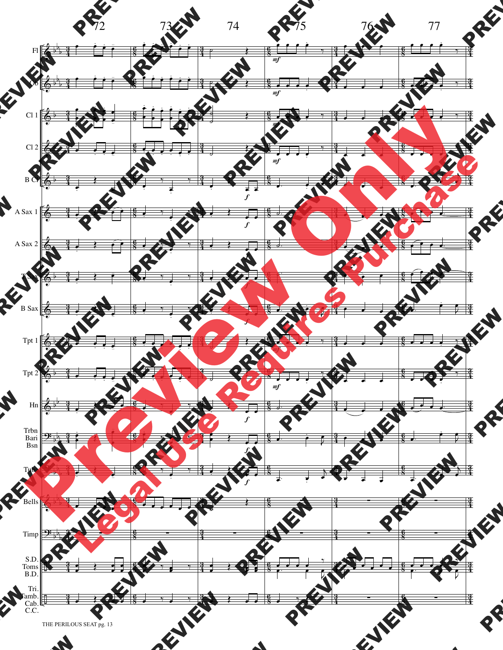![](_page_14_Figure_0.jpeg)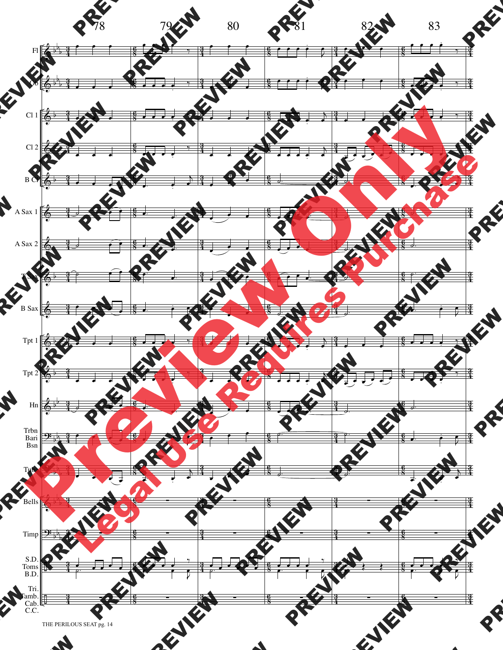![](_page_15_Figure_0.jpeg)

THE PERILOUS SEAT pg. 14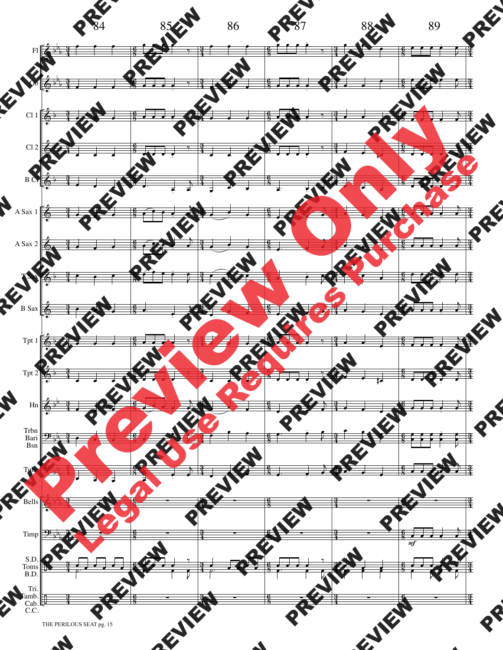![](_page_16_Figure_0.jpeg)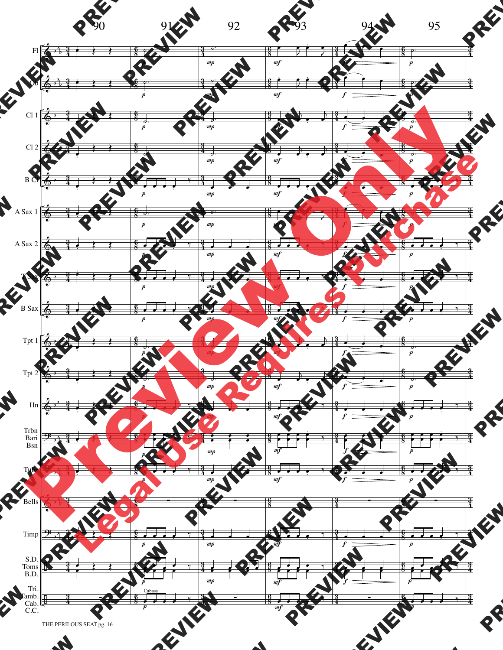![](_page_17_Figure_0.jpeg)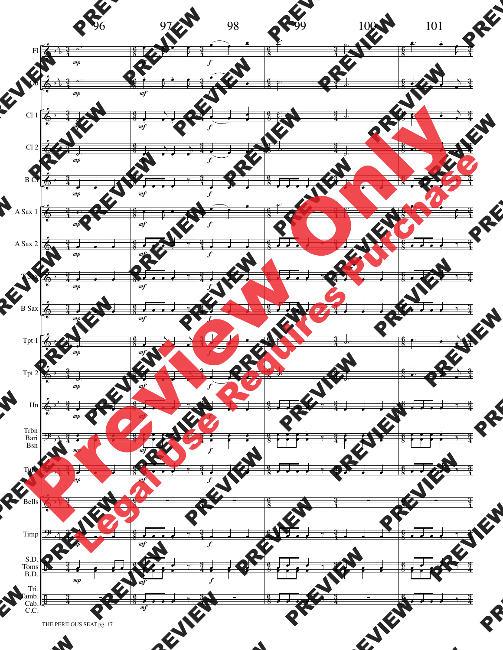![](_page_18_Figure_0.jpeg)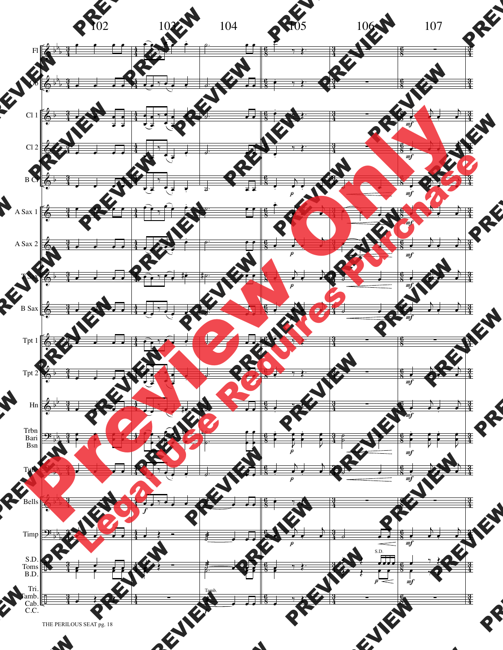![](_page_19_Figure_0.jpeg)